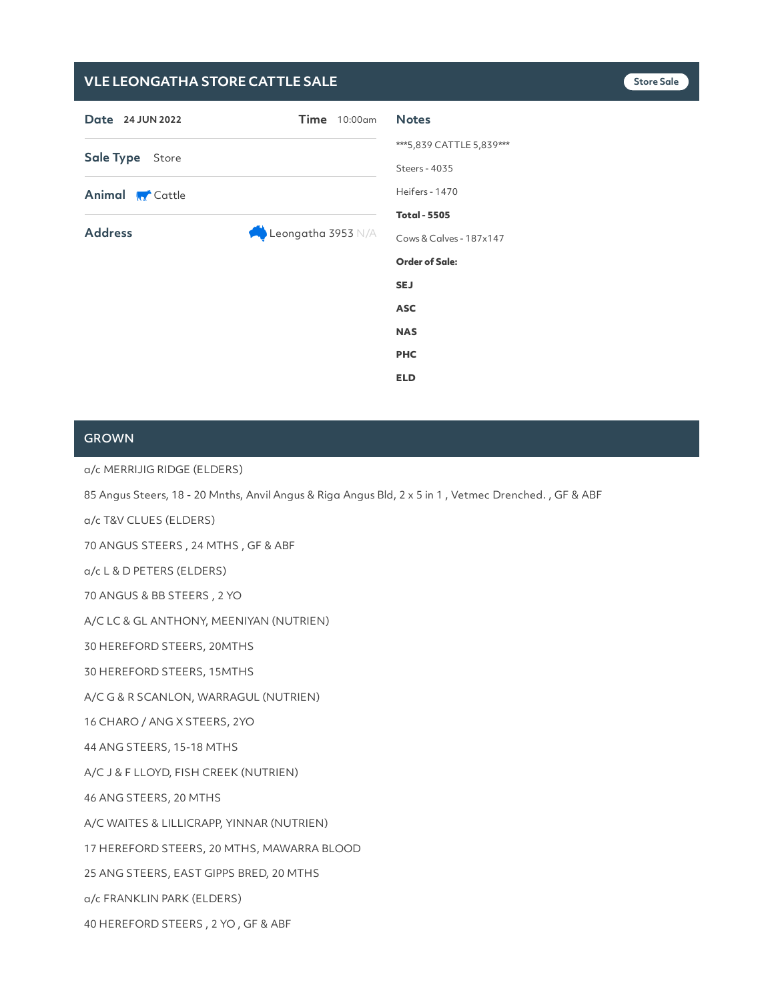# **VLE LEONGATHA STORE CATTLE SALE Store Sale**

| Date 24 JUN 2022       | $Time$ 10:00 $am$  | <b>Notes</b>                              |
|------------------------|--------------------|-------------------------------------------|
| Sale Type Store        |                    | ***5,839 CATTLE 5,839***<br>Steers - 4035 |
| <b>Animal M</b> Cattle |                    | Heifers - 1470<br><b>Total - 5505</b>     |
| <b>Address</b>         | Leongatha 3953 N/A | Cows & Calves - 187x147                   |
|                        |                    | <b>Order of Sale:</b>                     |
|                        |                    | <b>SEJ</b>                                |
|                        |                    | <b>ASC</b>                                |
|                        |                    | <b>NAS</b>                                |
|                        |                    | <b>PHC</b>                                |
|                        |                    | <b>ELD</b>                                |

# **GROWN**

a/c MERRIJIG RIDGE (ELDERS)

85 Angus Steers, 18 - 20 Mnths, Anvil Angus & Riga Angus Bld, 2 x 5 in 1 , Vetmec Drenched. , GF & ABF

a/c T&V CLUES (ELDERS)

70 ANGUS STEERS , 24 MTHS , GF & ABF

a/c L & D PETERS (ELDERS)

70 ANGUS & BB STEERS , 2 YO

A/C LC & GL ANTHONY, MEENIYAN (NUTRIEN)

30 HEREFORD STEERS, 20MTHS

30 HEREFORD STEERS, 15MTHS

A/C G & R SCANLON, WARRAGUL (NUTRIEN)

16 CHARO / ANG X STEERS, 2YO

44 ANG STEERS, 15-18 MTHS

A/C J & F LLOYD, FISH CREEK (NUTRIEN)

46 ANG STEERS, 20 MTHS

A/C WAITES & LILLICRAPP, YINNAR (NUTRIEN)

17 HEREFORD STEERS, 20 MTHS, MAWARRA BLOOD

25 ANG STEERS, EAST GIPPS BRED, 20 MTHS

a/c FRANKLIN PARK (ELDERS)

40 HEREFORD STEERS , 2 YO ,GF & ABF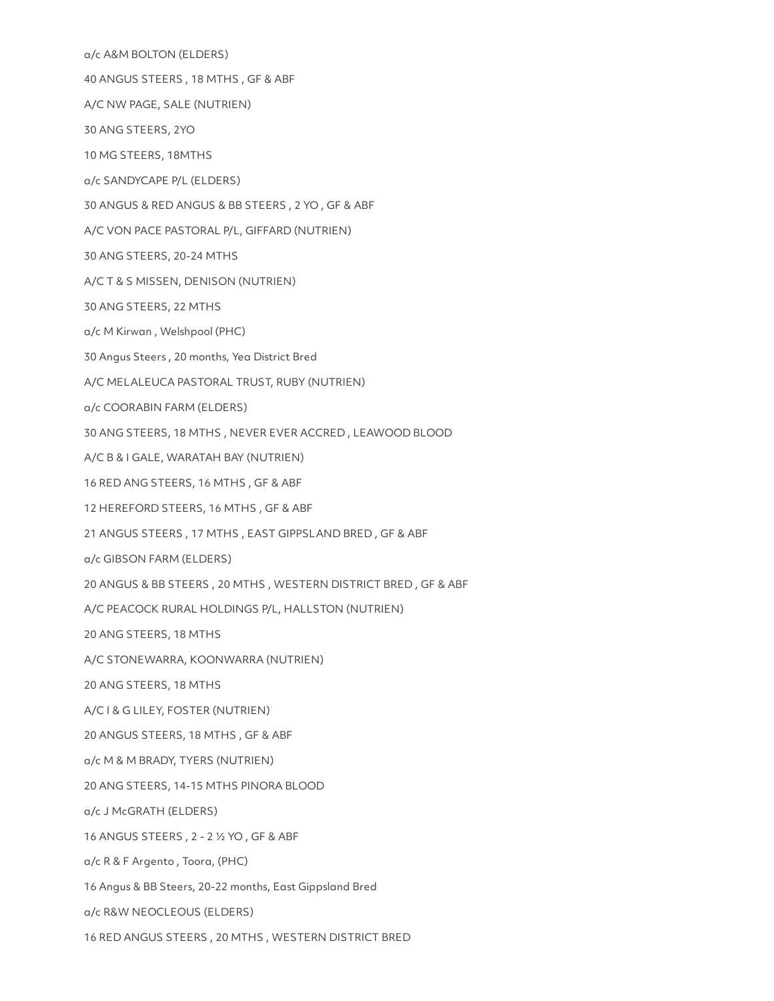a/c A&M BOLTON (ELDERS) 40 ANGUS STEERS , 18 MTHS , GF & ABF A/C NW PAGE, SALE (NUTRIEN) 30 ANG STEERS, 2YO 10 MG STEERS, 18MTHS a/c SANDYCAPE P/L (ELDERS) 30 ANGUS & RED ANGUS & BB STEERS , 2 YO ,GF & ABF A/C VON PACE PASTORAL P/L, GIFFARD (NUTRIEN) 30 ANG STEERS, 20-24 MTHS A/C T & S MISSEN, DENISON (NUTRIEN) 30 ANG STEERS, 22 MTHS a/c M Kirwan , Welshpool (PHC) 30 Angus Steers , 20 months, Yea District Bred A/C MELALEUCA PASTORAL TRUST, RUBY (NUTRIEN) a/c COORABIN FARM (ELDERS) 30 ANG STEERS, 18 MTHS , NEVER EVER ACCRED ,LEAWOOD BLOOD A/C B & I GALE, WARATAH BAY (NUTRIEN) 16 RED ANG STEERS, 16 MTHS , GF & ABF 12 HEREFORD STEERS, 16 MTHS , GF & ABF 21 ANGUS STEERS , 17 MTHS , EAST GIPPSLAND BRED ,GF & ABF a/c GIBSON FARM (ELDERS) 20 ANGUS & BB STEERS , 20 MTHS , WESTERN DISTRICT BRED ,GF & ABF A/C PEACOCK RURAL HOLDINGS P/L, HALLSTON (NUTRIEN) 20 ANG STEERS, 18 MTHS A/C STONEWARRA, KOONWARRA (NUTRIEN) 20 ANG STEERS, 18 MTHS A/C I& G LILEY, FOSTER (NUTRIEN) 20 ANGUS STEERS, 18 MTHS , GF & ABF a/c M & M BRADY, TYERS (NUTRIEN) 20 ANG STEERS, 14-15 MTHS PINORA BLOOD a/c J McGRATH (ELDERS) 16 ANGUS STEERS , 2 - 2 ½ YO ,GF & ABF a/c R & F Argento , Toora, (PHC) 16 Angus & BB Steers, 20-22 months, East Gippsland Bred a/c R&W NEOCLEOUS (ELDERS) 16 RED ANGUS STEERS , 20 MTHS , WESTERN DISTRICT BRED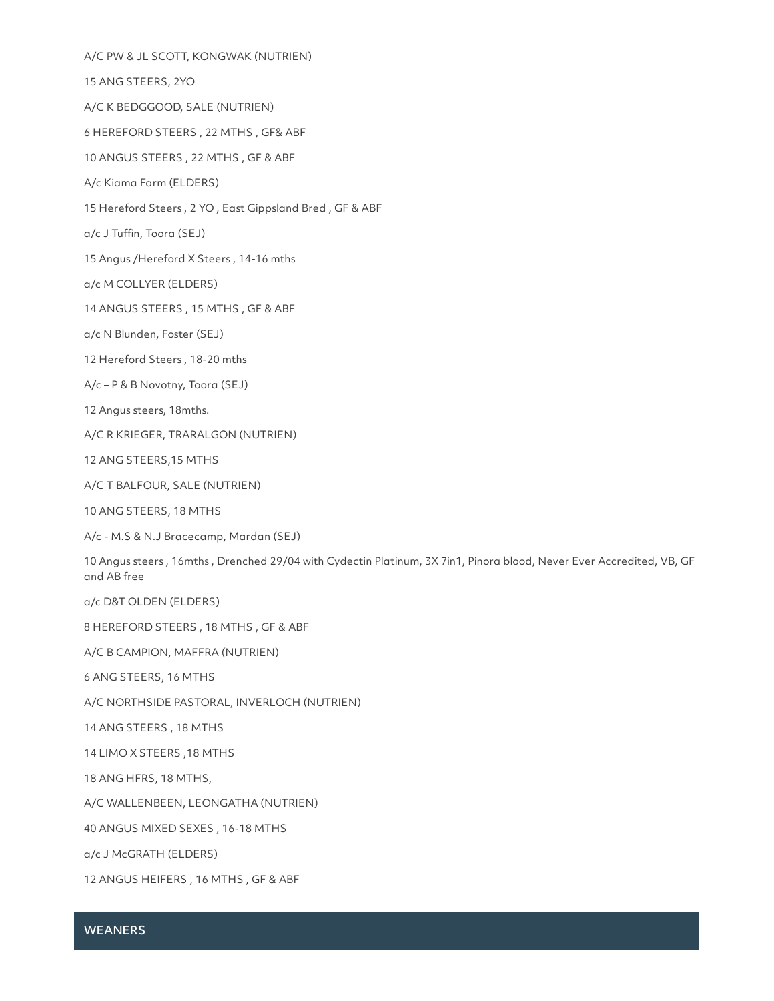A/C PW & JL SCOTT, KONGWAK (NUTRIEN) 15 ANG STEERS, 2YO A/C K BEDGGOOD, SALE (NUTRIEN) 6 HEREFORD STEERS , 22 MTHS , GF& ABF 10 ANGUS STEERS , 22 MTHS , GF & ABF A/c Kiama Farm (ELDERS) 15 Hereford Steers, 2 YO, East Gippsland Bred, GF & ABF a/c J Tuffin, Toora (SEJ)

15 Angus /Hereford X Steers , 14-16 mths

a/c M COLLYER (ELDERS)

14 ANGUS STEERS , 15 MTHS , GF & ABF

a/c N Blunden, Foster (SEJ)

12 Hereford Steers , 18-20 mths

A/c – P & B Novotny, Toora (SEJ)

12 Angus steers, 18mths.

A/C R KRIEGER, TRARALGON (NUTRIEN)

12 ANG STEERS,15 MTHS

A/C T BALFOUR, SALE (NUTRIEN)

10 ANG STEERS, 18 MTHS

A/c - M.S & N.J Bracecamp, Mardan (SEJ)

10 Angus steers , 16mths , Drenched 29/04 with Cydectin Platinum, 3X 7in1, Pinora blood, Never Ever Accredited, VB, GF and AB free

a/c D&T OLDEN (ELDERS)

8 HEREFORD STEERS , 18 MTHS , GF & ABF

A/C B CAMPION, MAFFRA (NUTRIEN)

6 ANG STEERS, 16 MTHS

A/C NORTHSIDE PASTORAL, INVERLOCH (NUTRIEN)

14 ANG STEERS , 18 MTHS

14 LIMO X STEERS ,18 MTHS

18 ANG HFRS, 18 MTHS,

A/C WALLENBEEN, LEONGATHA (NUTRIEN)

40 ANGUS MIXED SEXES , 16-18 MTHS

a/c J McGRATH (ELDERS)

12 ANGUS HEIFERS , 16 MTHS , GF & ABF

#### **WEANERS**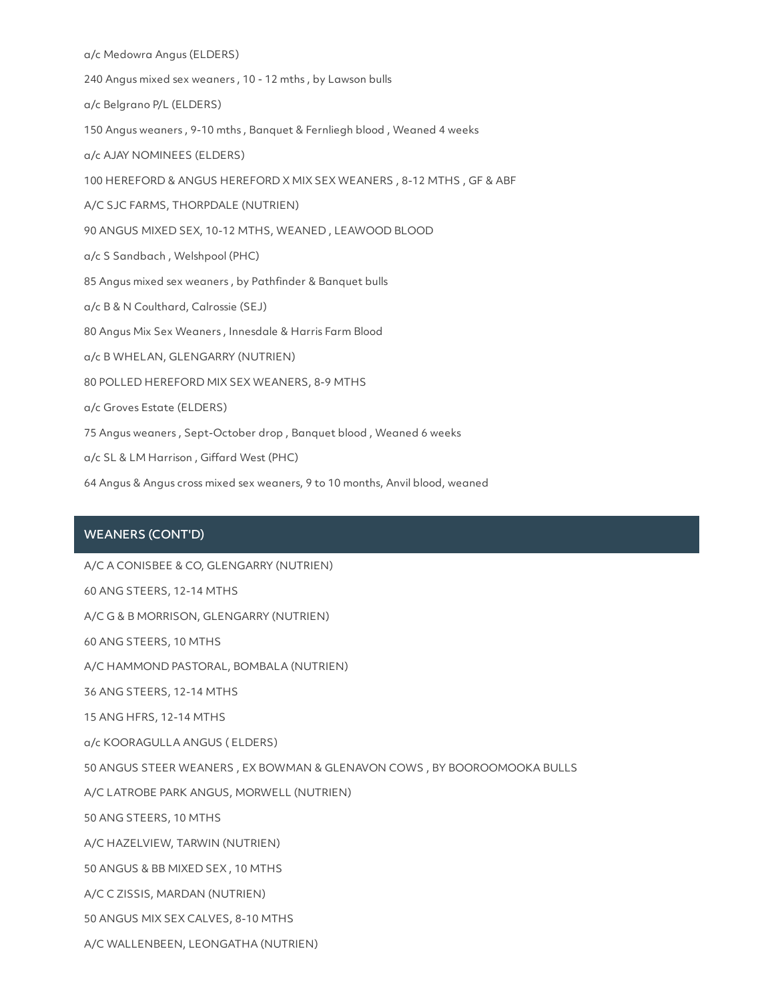a/c Medowra Angus (ELDERS)

240 Angus mixed sex weaners , 10 - 12 mths , by Lawson bulls

a/c Belgrano P/L (ELDERS)

150 Angus weaners , 9-10 mths , Banquet & Fernliegh blood , Weaned 4 weeks

a/c AJAY NOMINEES (ELDERS)

100 HEREFORD & ANGUS HEREFORD X MIX SEX WEANERS , 8-12 MTHS , GF & ABF

A/C SJC FARMS, THORPDALE (NUTRIEN)

90 ANGUS MIXED SEX, 10-12 MTHS, WEANED, LEAWOOD BLOOD

a/c S Sandbach , Welshpool (PHC)

85 Angus mixed sex weaners , by Pathfinder & Banquet bulls

a/c B & N Coulthard, Calrossie (SEJ)

80 Angus Mix Sex Weaners , Innesdale & Harris Farm Blood

a/c B WHELAN, GLENGARRY (NUTRIEN)

80 POLLED HEREFORD MIX SEX WEANERS, 8-9 MTHS

a/c Groves Estate (ELDERS)

75 Angus weaners , Sept-October drop , Banquet blood , Weaned 6 weeks

a/c SL & LM Harrison , Giffard West (PHC)

64 Angus & Angus cross mixed sex weaners, 9 to 10 months, Anvil blood, weaned

### WEANERS (CONT'D)

A/C A CONISBEE & CO, GLENGARRY (NUTRIEN) 60 ANG STEERS, 12-14 MTHS A/C G & B MORRISON, GLENGARRY (NUTRIEN) 60 ANG STEERS, 10 MTHS A/C HAMMOND PASTORAL, BOMBALA (NUTRIEN) 36 ANG STEERS, 12-14 MTHS 15 ANG HFRS, 12-14 MTHS a/c KOORAGULLA ANGUS ( ELDERS) 50 ANGUS STEER WEANERS , EX BOWMAN & GLENAVON COWS , BY BOOROOMOOKA BULLS A/C LATROBE PARK ANGUS, MORWELL (NUTRIEN) 50 ANG STEERS, 10 MTHS A/C HAZELVIEW, TARWIN (NUTRIEN) 50 ANGUS & BB MIXED SEX , 10 MTHS A/C C ZISSIS, MARDAN (NUTRIEN) 50 ANGUS MIX SEX CALVES, 8-10 MTHS A/C WALLENBEEN, LEONGATHA (NUTRIEN)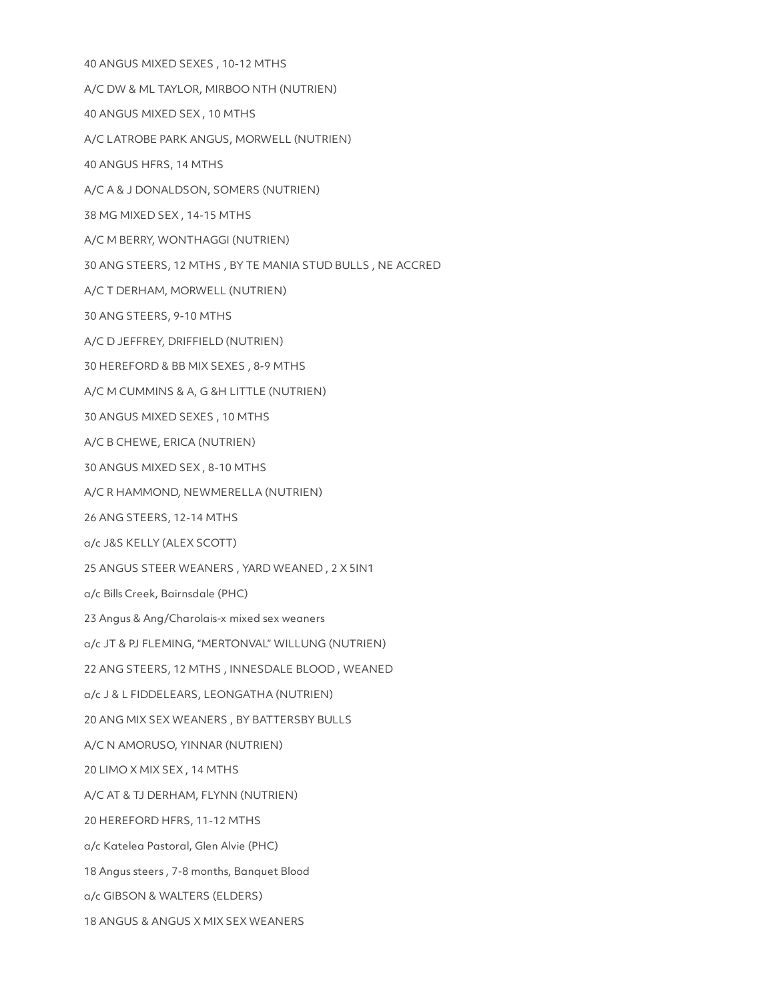40 ANGUS MIXED SEXES , 10-12 MTHS A/C DW & ML TAYLOR, MIRBOO NTH (NUTRIEN) 40 ANGUS MIXED SEX , 10 MTHS A/C LATROBE PARK ANGUS, MORWELL (NUTRIEN) 40 ANGUS HFRS, 14 MTHS A/C A & J DONALDSON, SOMERS (NUTRIEN) 38 MG MIXED SEX , 14-15 MTHS A/C M BERRY, WONTHAGGI (NUTRIEN) 30 ANG STEERS, 12 MTHS , BY TE MANIA STUD BULLS , NE ACCRED A/C T DERHAM, MORWELL (NUTRIEN) 30 ANG STEERS, 9-10 MTHS A/C D JEFFREY, DRIFFIELD (NUTRIEN) 30 HEREFORD & BB MIX SEXES , 8-9 MTHS A/C M CUMMINS & A, G &H LITTLE (NUTRIEN) 30 ANGUS MIXED SEXES , 10 MTHS A/C B CHEWE, ERICA (NUTRIEN) 30 ANGUS MIXED SEX , 8-10 MTHS A/C R HAMMOND, NEWMERELLA (NUTRIEN) 26 ANG STEERS, 12-14 MTHS a/c J&S KELLY (ALEX SCOTT) 25 ANGUS STEER WEANERS , YARD WEANED ,2 X 5IN1 a/c Bills Creek, Bairnsdale (PHC) 23 Angus & Ang/Charolais-x mixed sex weaners a/c JT & PJ FLEMING, "MERTONVAL" WILLUNG (NUTRIEN) 22 ANG STEERS, 12 MTHS, INNESDALE BLOOD, WEANED a/c J & L FIDDELEARS, LEONGATHA (NUTRIEN) 20 ANG MIX SEX WEANERS , BY BATTERSBY BULLS A/C N AMORUSO, YINNAR (NUTRIEN) 20 LIMO X MIX SEX ,14 MTHS A/C AT & TJ DERHAM, FLYNN (NUTRIEN) 20 HEREFORD HFRS, 11-12 MTHS a/c Katelea Pastoral, Glen Alvie (PHC) 18 Angus steers , 7-8 months, Banquet Blood a/c GIBSON & WALTERS (ELDERS) 18 ANGUS & ANGUS X MIX SEX WEANERS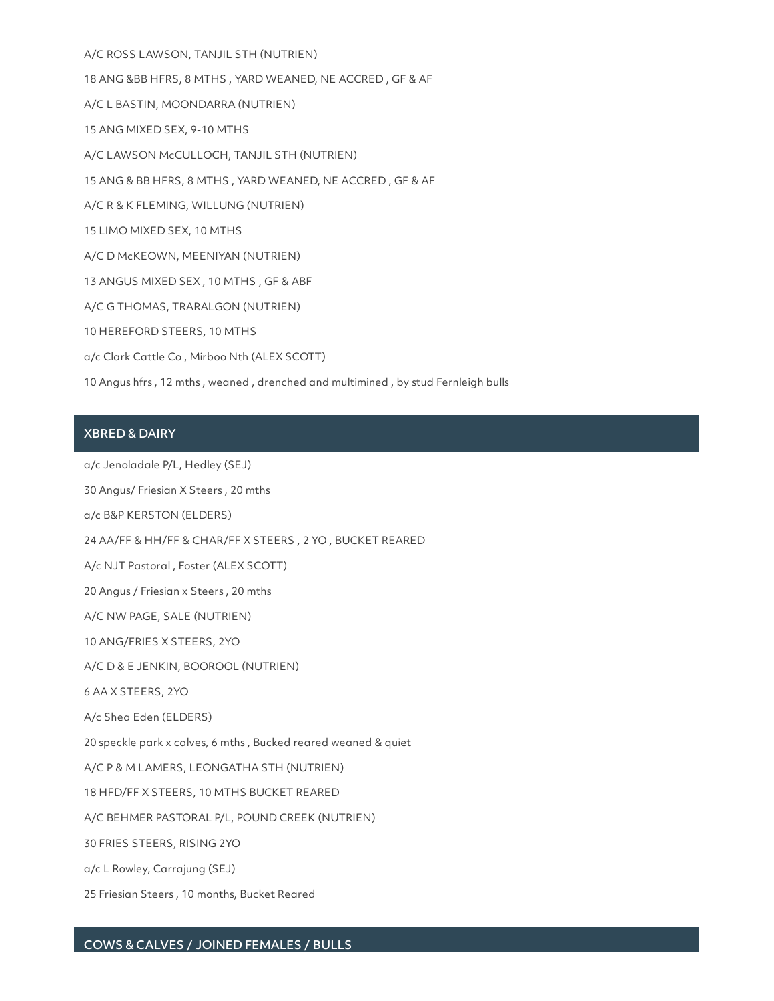A/C ROSS LAWSON, TANJIL STH (NUTRIEN) 18 ANG &BB HFRS, 8 MTHS , YARD WEANED, NE ACCRED ,GF & AF A/C L BASTIN, MOONDARRA (NUTRIEN) 15 ANG MIXED SEX, 9-10 MTHS A/C LAWSON McCULLOCH, TANJIL STH (NUTRIEN) 15 ANG & BB HFRS, 8 MTHS , YARD WEANED, NE ACCRED ,GF & AF A/C R & K FLEMING, WILLUNG (NUTRIEN) 15 LIMO MIXED SEX, 10 MTHS A/C D McKEOWN, MEENIYAN (NUTRIEN) 13 ANGUS MIXED SEX , 10 MTHS , GF & ABF A/C G THOMAS, TRARALGON (NUTRIEN) 10 HEREFORD STEERS, 10 MTHS a/c Clark Cattle Co , Mirboo Nth (ALEX SCOTT) 10 Angus hfrs , 12 mths , weaned , drenched and multimined , by stud Fernleigh bulls

# XBRED & DAIRY

a/c Jenoladale P/L, Hedley (SEJ)

30 Angus/ Friesian X Steers , 20 mths

a/c B&P KERSTON (ELDERS)

24 AA/FF & HH/FF & CHAR/FF X STEERS , 2 YO , BUCKET REARED

A/c NJT Pastoral , Foster (ALEX SCOTT)

20 Angus / Friesian x Steers , 20 mths

A/C NW PAGE, SALE (NUTRIEN)

10 ANG/FRIES X STEERS, 2YO

A/C D & E JENKIN, BOOROOL (NUTRIEN)

6 AA X STEERS, 2YO

A/c Shea Eden (ELDERS)

20 speckle park x calves, 6 mths , Bucked reared weaned & quiet

A/C P & M LAMERS, LEONGATHA STH (NUTRIEN)

18 HFD/FF X STEERS, 10 MTHS BUCKET REARED

A/C BEHMER PASTORAL P/L, POUND CREEK (NUTRIEN)

30 FRIES STEERS, RISING 2YO

a/c L Rowley, Carrajung (SEJ)

25 Friesian Steers , 10 months, Bucket Reared

### COWS & CALVES / JOINED FEMALES / BULLS